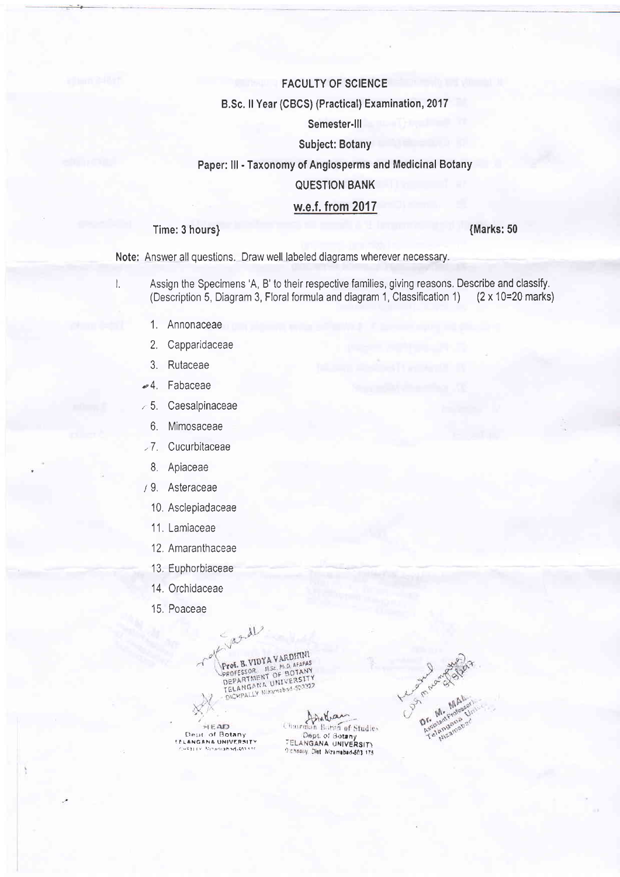### FACULTY OF SCIENCE

#### B,Sc, ll Year (CBCS) (Practical) Examination, 2017

# Semester-lll

### Subject: Botany

## Paper: lll - Taxonomy of Angiosperms and Medicinal Botany

### QUESTION BANK

### w.e.f. from 2017

### Time: 3 hours)

(Marks: 50

Note: Answer all questions. Draw well labeled diagrams wherever necessary.

- l. Assign the Specimens 'A, B' to their respective families, giving reasons. Describe and classify.<br>(Description 5, Diagram 3, Floral formula and diagram 1, Classification 1) (2 x 10=20 marks) (Description 5, Diagram 3, Floral formula and diagram 1, Classification 1)
	- 1. Annonaceae
	- 2. Capparidaceae
	- 3. Rutaceae
	- o4, Fabaceae
	- $\approx$  5. Caesalpinaceae
		- 6. Mimosaceae
	- ,7 . Cucurbitaceae
		- 8. Apiaceae
	- 19. Asteraceae
		- 10. Asclepiadaceae
		- 11. Lamiaceae
		- 12, Amaranthaceae
		- 13, Euphorbiaceae
		- 14. Orchidaceae
		- 15, Poaceae

March 1 **EXAMPLE TO A VARDITINI**<br>
PROFESSOR, MSC, PILO, AFAPAS<br>
PROFESSOR, MSC, PILO, AFAPAS<br>
DEPARTMENT OF BOTANY<br>
TELANGANA UNIVERSITY<br>
TELANGANA UNIVERSITY<br>
OUCHPALLY Nightsbod S03322

HEAD

fontrain **EAD** (Barman Boran of Studies)<br>
Dept of Botany , Dept of Botany<br>
LANGANA UNIVERSITY . TELANGANA UNIVERSITY ELLANGANA UNIVERSITY TELANGANA UNIVERSITY<br>Telangana UNIVERSITY : 7.1) ; include I, UNIVERSITY